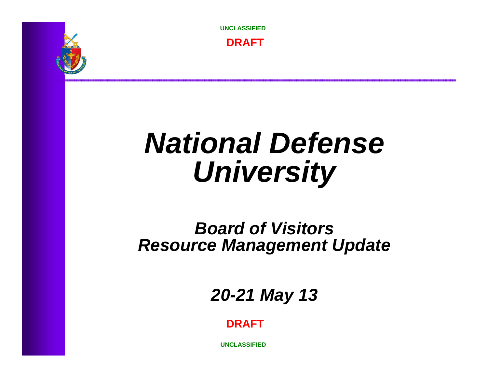

**UNCLASSIFIED**

**DRAFT**

# *National Defense University*

### *Board of VisitorsResource Management Update*

*20-21 May 13* 

**DRAFT**

**UNCLASSIFIED**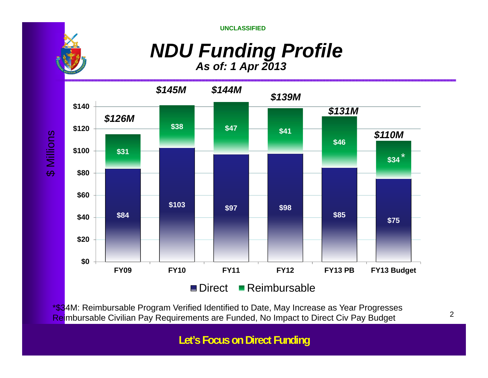**UNCLASSIFIED**

*NDU Funding Profile*

*As of: 1 Apr 2013*



\*\$34M: Reimbursable Program Verified Identified to Date, May Increase as Year Progresses Reimbursable Civilian Pay Requirements are Funded, No Impact to Direct Civ Pay Budget

**UNCLASSIFIEDLet's Focus on Direct Funding**

2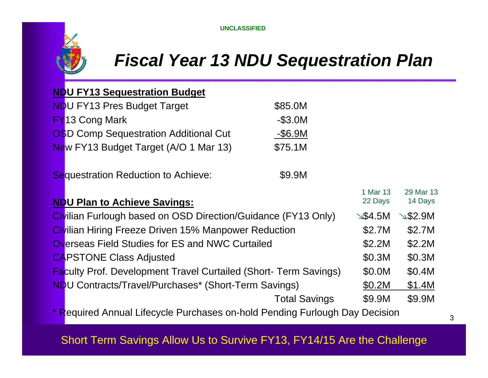

## *Fiscal Year 13 NDU Sequestration Plan*

#### **NDU FY13 Sequestration Budget**

| <b>NDU FY13 Pres Budget Target</b>           | \$85.0M    |
|----------------------------------------------|------------|
| <b>FY13 Cong Mark</b>                        | $-$ \$3.0M |
| <b>OSD Comp Sequestration Additional Cut</b> | $-$ \$6.9M |
| New FY13 Budget Target (A/O 1 Mar 13)        | \$75.1M    |

#### Sequestration Reduction to Achieve: \$9.9M

|                                                                                   | 1 Mar 13            | 29 Mar 13            |
|-----------------------------------------------------------------------------------|---------------------|----------------------|
| <b>NDU Plan to Achieve Savings:</b>                                               | 22 Days             | 14 Days              |
| Civilian Furlough based on OSD Direction/Guidance (FY13 Only)                     | $\mathscr{A}$ 54.5M | $\mathscr{L}$ \$2.9M |
| <b>Civilian Hiring Freeze Driven 15% Manpower Reduction</b>                       | \$2.7M              | \$2.7M               |
| <b>Overseas Field Studies for ES and NWC Curtailed</b>                            | \$2.2M              | \$2.2M               |
| <b>CAPSTONE Class Adjusted</b>                                                    | \$0.3M              | \$0.3M               |
| <b>Faculty Prof. Development Travel Curtailed (Short- Term Savings)</b>           | \$0.0M              | \$0.4M               |
| <b>NDU Contracts/Travel/Purchases* (Short-Term Savings)</b>                       | \$0.2M              | \$1.4M               |
| <b>Total Savings</b>                                                              | \$9.9M              | \$9.9M               |
| * Descripted Approval Life and a Dunchasea and hald Depaling Funknook Dan Dealets |                     |                      |

**Required Annual Lifecycle Purchases on-hold Pending Furlough Day Decision** 

#### 3

### Short Term Savings Allow Us to Survive FY13, FY14/15 Are the Challenge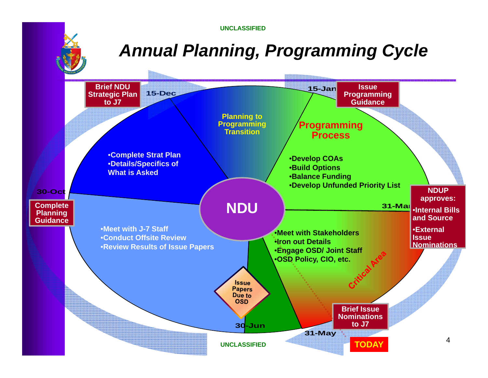**UNCLASSIFIED**

# *Annual Planning, Programming Cycle*